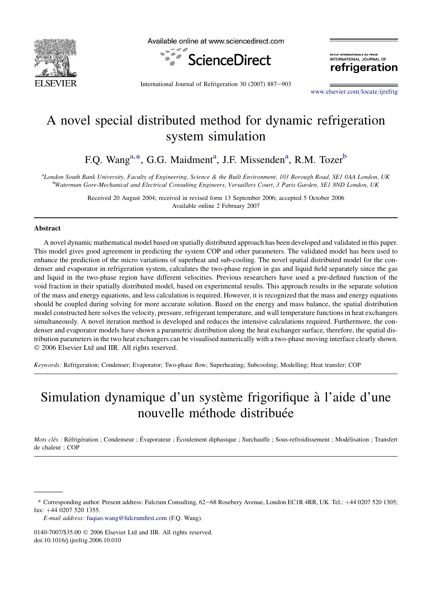

Available online at www.sciencedirect.com



.<br>Revue internationale du froic INTERNATIONAL JOURNAL OF refrigeration

International Journal of Refrigeration 30 (2007) 887-903

[www.elsevier.com/locate/ijrefrig](http://www.elsevier.com/locate/ijrefrig)

### A novel special distributed method for dynamic refrigeration system simulation

F.Q. Wang<sup>a,\*</sup>, G.G. Maidment<sup>a</sup>, J.F. Missenden<sup>a</sup>, R.M. Tozer<sup>b</sup>

a<br>London South Bank University, Faculty of Engineering, Science & the Built Environment, 103 Borough Road, SE1 0AA London, UK<br>bWaterman Gore-Mechanical and Electrical Consulting Engineers Versaillers Court 3 Paris Garden, <sup>b</sup>Waterman Gore-Mechanical and Electrical Consulting Engineers, Versaillers Court, 3 Paris Garden, SE1 8ND London, UK

> Received 20 August 2004; received in revised form 13 September 2006; accepted 5 October 2006 Available online 2 February 2007

#### Abstract

A novel dynamic mathematical model based on spatially distributed approach has been developed and validated in this paper. This model gives good agreement in predicting the system COP and other parameters. The validated model has been used to enhance the prediction of the micro variations of superheat and sub-cooling. The novel spatial distributed model for the condenser and evaporator in refrigeration system, calculates the two-phase region in gas and liquid field separately since the gas and liquid in the two-phase region have different velocities. Previous researchers have used a pre-defined function of the void fraction in their spatially distributed model, based on experimental results. This approach results in the separate solution of the mass and energy equations, and less calculation is required. However, it is recognized that the mass and energy equations should be coupled during solving for more accurate solution. Based on the energy and mass balance, the spatial distribution model constructed here solves the velocity, pressure, refrigerant temperature, and wall temperature functions in heat exchangers simultaneously. A novel iteration method is developed and reduces the intensive calculations required. Furthermore, the condenser and evaporator models have shown a parametric distribution along the heat exchanger surface, therefore, the spatial distribution parameters in the two heat exchangers can be visualised numerically with a two-phase moving interface clearly shown. © 2006 Elsevier Ltd and IIR. All rights reserved.

Keywords: Refrigeration; Condenser; Evaporator; Two-phase flow; Superheating; Subcooling; Modelling; Heat transfer; COP

## Simulation dynamique d'un système frigorifique à l'aide d'une nouvelle méthode distribuée

Mots clés : Réfrigération ; Condenseur ; Évaporateur ; Écoulement diphasique ; Surchauffe ; Sous-refroidissement ; Modélisation ; Transfert de chaleur ; COP

<sup>\*</sup> Corresponding author. Present address: Fulcrum Consulting, 62–68 Rosebery Avenue, London EC1R 4RR, UK. Tel.: +44 0207 520 1305;  $fax: +44$  0207 520 1355.

E-mail address: [fuqiao.wang@fulcrumfirst.com](mailto:fuqiao.wang@fulcrumfirst.com) (F.Q. Wang).

 $0140$ -7007/\$35.00  $\odot$  2006 Elsevier Ltd and IIR. All rights reserved. doi:10.1016/j.ijrefrig.2006.10.010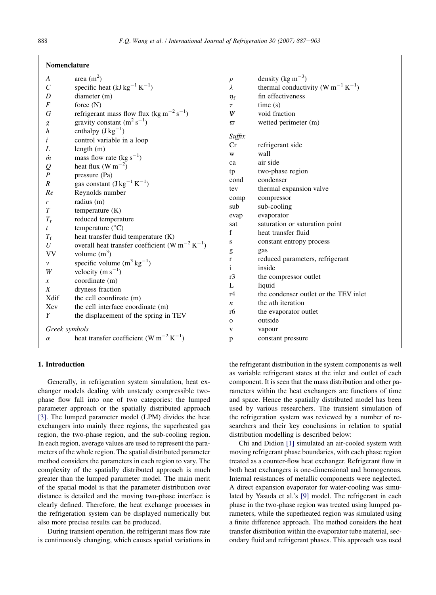| A              | area $(m^2)$                                                           | $\rho$           | density (kg m <sup><math>-3</math></sup> )                |
|----------------|------------------------------------------------------------------------|------------------|-----------------------------------------------------------|
| C              | specific heat $(kJ kg^{-1} K^{-1})$                                    | λ                | thermal conductivity (W m <sup>-1</sup> K <sup>-1</sup> ) |
| D              | diameter (m)                                                           | $\eta_{\rm f}$   | fin effectiveness                                         |
| F              | force $(N)$                                                            | $\tau$           | time(s)                                                   |
| G              | refrigerant mass flow flux (kg m <sup>-2</sup> s <sup>-1</sup> )       | Ψ                | void fraction                                             |
| g              | gravity constant $(m^2 s^{-1})$                                        | $\varpi$         | wetted perimeter (m)                                      |
| h              | enthalpy $(J \text{ kg}^{-1})$                                         |                  |                                                           |
| i              | control variable in a loop                                             | Suffix           |                                                           |
| L              | length $(m)$                                                           | Cr               | refrigerant side                                          |
| m              | mass flow rate $(kg s^{-1})$                                           | W                | wall                                                      |
| Q              | heat flux $(W m^{-2})$                                                 | ca               | air side                                                  |
| $\overline{P}$ | pressure (Pa)                                                          | tp               | two-phase region                                          |
| R              | gas constant $(J \text{ kg}^{-1} \text{ K}^{-1})$                      | cond             | condenser                                                 |
| Re             | Reynolds number                                                        | tev              | thermal expansion valve                                   |
| r              | radius (m)                                                             | comp             | compressor                                                |
| T              | temperature $(K)$                                                      | sub              | sub-cooling                                               |
| $T_{\rm r}$    | reduced temperature                                                    | evap             | evaporator                                                |
| t              | temperature $(^{\circ}C)$                                              | sat              | saturation or saturation point                            |
| $T_{\rm f}$    | heat transfer fluid temperature (K)                                    | f                | heat transfer fluid                                       |
| U              | overall heat transfer coefficient (W m <sup>-2</sup> K <sup>-1</sup> ) | S                | constant entropy process                                  |
| <b>VV</b>      | volume $(m^3)$                                                         | g                | gas                                                       |
| $\mathcal{V}$  | specific volume $(m^3 \text{ kg}^{-1})$                                | r                | reduced parameters, refrigerant                           |
| W              | velocity $(m s^{-1})$                                                  | i                | inside                                                    |
| $\mathcal{X}$  | coordinate (m)                                                         | r3               | the compressor outlet                                     |
| X              | dryness fraction                                                       | L                | liquid                                                    |
| Xdif           | the cell coordinate (m)                                                | r4               | the condenser outlet or the TEV inlet                     |
| Xcv            | the cell interface coordinate (m)                                      | $\boldsymbol{n}$ | the <i>n</i> th iteration                                 |
| Y              | the displacement of the spring in TEV                                  | r6               | the evaporator outlet                                     |
|                |                                                                        | 0                | outside                                                   |
| Greek symbols  |                                                                        | $\mathbf V$      | vapour                                                    |
| $\alpha$       | heat transfer coefficient (W m <sup>-2</sup> K <sup>-1</sup> )         | p                | constant pressure                                         |

#### 1. Introduction

Generally, in refrigeration system simulation, heat exchanger models dealing with unsteady compressible twophase flow fall into one of two categories: the lumped parameter approach or the spatially distributed approach [\[3\].](#page--1-0) The lumped parameter model (LPM) divides the heat exchangers into mainly three regions, the superheated gas region, the two-phase region, and the sub-cooling region. In each region, average values are used to represent the parameters of the whole region. The spatial distributed parameter method considers the parameters in each region to vary. The complexity of the spatially distributed approach is much greater than the lumped parameter model. The main merit of the spatial model is that the parameter distribution over distance is detailed and the moving two-phase interface is clearly defined. Therefore, the heat exchange processes in the refrigeration system can be displayed numerically but also more precise results can be produced.

During transient operation, the refrigerant mass flow rate is continuously changing, which causes spatial variations in the refrigerant distribution in the system components as well as variable refrigerant states at the inlet and outlet of each component. It is seen that the mass distribution and other parameters within the heat exchangers are functions of time and space. Hence the spatially distributed model has been used by various researchers. The transient simulation of the refrigeration system was reviewed by a number of researchers and their key conclusions in relation to spatial distribution modelling is described below:

Chi and Didion [\[1\]](#page--1-0) simulated an air-cooled system with moving refrigerant phase boundaries, with each phase region treated as a counter-flow heat exchanger. Refrigerant flow in both heat exchangers is one-dimensional and homogenous. Internal resistances of metallic components were neglected. A direct expansion evaporator for water-cooling was simulated by Yasuda et al.'s [\[9\]](#page--1-0) model. The refrigerant in each phase in the two-phase region was treated using lumped parameters, while the superheated region was simulated using a finite difference approach. The method considers the heat transfer distribution within the evaporator tube material, secondary fluid and refrigerant phases. This approach was used